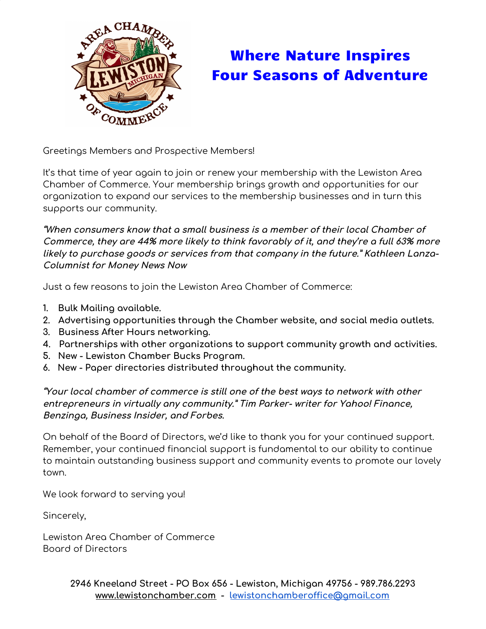

## Where Nature Inspires Four Seasons of Adventure

Greetings Members and Prospective Members!

It's that time of year again to join or renew your membership with the Lewiston Area Chamber of Commerce. Your membership brings growth and opportunities for our organization to expand our services to the membership businesses and in turn this supports our community.

**"When consumers know that <sup>a</sup> small business is <sup>a</sup> member of their local Chamber of Commerce, they are 44% more likely to think favorably of it, and they're <sup>a</sup> full 63% more likely to purchase goods or services from that company in the future." Kathleen Lanza-Columnist for Money News Now**

Just a few reasons to join the Lewiston Area Chamber of Commerce:

- **1. Bulk Mailing available.**
- **2. Advertising opportunities through the Chamber website, and social media outlets.**
- **3. Business After Hours networking.**
- **4. Partnerships with other organizations to support community growth and activities.**
- **5. New - Lewiston Chamber Bucks Program.**
- **6. New - Paper directories distributed throughout the community.**

**"Your local chamber of commerce is still one of the best ways to network with other entrepreneurs in virtually any community." Tim Parker- writer for Yahoo! Finance, Benzinga, Business Insider, and Forbes.**

On behalf of the Board of Directors, we'd like to thank you for your continued support. Remember, your continued financial support is fundamental to our ability to continue to maintain outstanding business support and community events to promote our lovely town.

We look forward to serving you!

Sincerely,

Lewiston Area Chamber of Commerce Board of Directors

> **2946 Kneeland Street - PO Box 656 - Lewiston, Michigan 49756 - 989.786.2293 [www.lewistonchamber.com](http://www.lewistonchamber.com/) - [lewistonchamberoffice@gmail.com](mailto:lewistonchamberoffice@gmail.com)**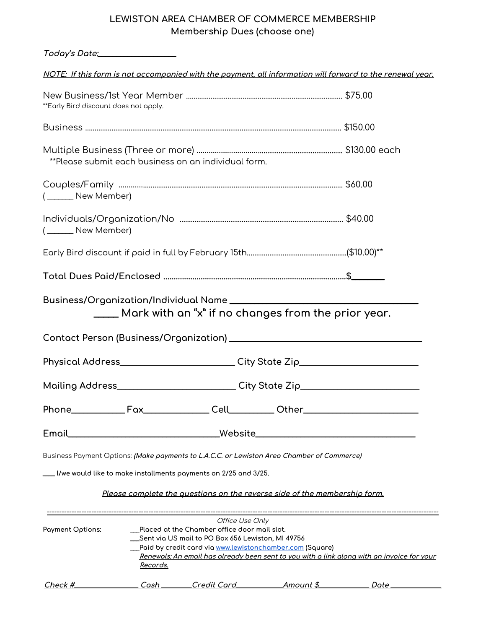## **LEWISTON AREA CHAMBER OF COMMERCE MEMBERSHIP Membership Dues (choose one)**

| Today's Date:__________________       |                                                                                                                        |                                                                                                                                                                            |  |  |  |
|---------------------------------------|------------------------------------------------------------------------------------------------------------------------|----------------------------------------------------------------------------------------------------------------------------------------------------------------------------|--|--|--|
|                                       |                                                                                                                        | NOTE: If this form is not accompanied with the payment, all information will forward to the renewal year.                                                                  |  |  |  |
| **Early Bird discount does not apply. |                                                                                                                        |                                                                                                                                                                            |  |  |  |
|                                       |                                                                                                                        |                                                                                                                                                                            |  |  |  |
|                                       | **Please submit each business on an individual form.                                                                   |                                                                                                                                                                            |  |  |  |
| (_______ New Member)                  |                                                                                                                        |                                                                                                                                                                            |  |  |  |
| (_______ New Member)                  |                                                                                                                        |                                                                                                                                                                            |  |  |  |
|                                       |                                                                                                                        |                                                                                                                                                                            |  |  |  |
|                                       |                                                                                                                        |                                                                                                                                                                            |  |  |  |
|                                       |                                                                                                                        | ____ Mark with an "x" if no changes from the prior year.                                                                                                                   |  |  |  |
|                                       |                                                                                                                        | Physical Address___________________________City State Zip_______________________                                                                                           |  |  |  |
|                                       | Mailing Address___________________________City State Zip________________________                                       |                                                                                                                                                                            |  |  |  |
|                                       |                                                                                                                        | Phone_______________Fax______________Cell___________Other_______________________                                                                                           |  |  |  |
|                                       |                                                                                                                        | Email___________________________________Website_________________________________                                                                                           |  |  |  |
|                                       |                                                                                                                        | Business Payment Options: <i>(Make payments to L.A.C.C. or Lewiston Area Chamber of Commerce)</i>                                                                          |  |  |  |
|                                       | ___ I/we would like to make installments payments on 2/25 and 3/25.                                                    | Please complete the questions on the reverse side of the membership form.                                                                                                  |  |  |  |
| Payment Options:                      | Placed at the Chamber office door mail slot.<br>__Sent via US mail to PO Box 656 Lewiston, MI 49756<br><u>Records.</u> | Office Use Only<br>_Paid by credit card via www.lewistonchamber.com (Square)<br>Renewals: An email has already been sent to you with a link along with an invoice for your |  |  |  |

| $Check$ $#$ | nst | credit Cord | Amount » |  |
|-------------|-----|-------------|----------|--|
|             |     |             |          |  |